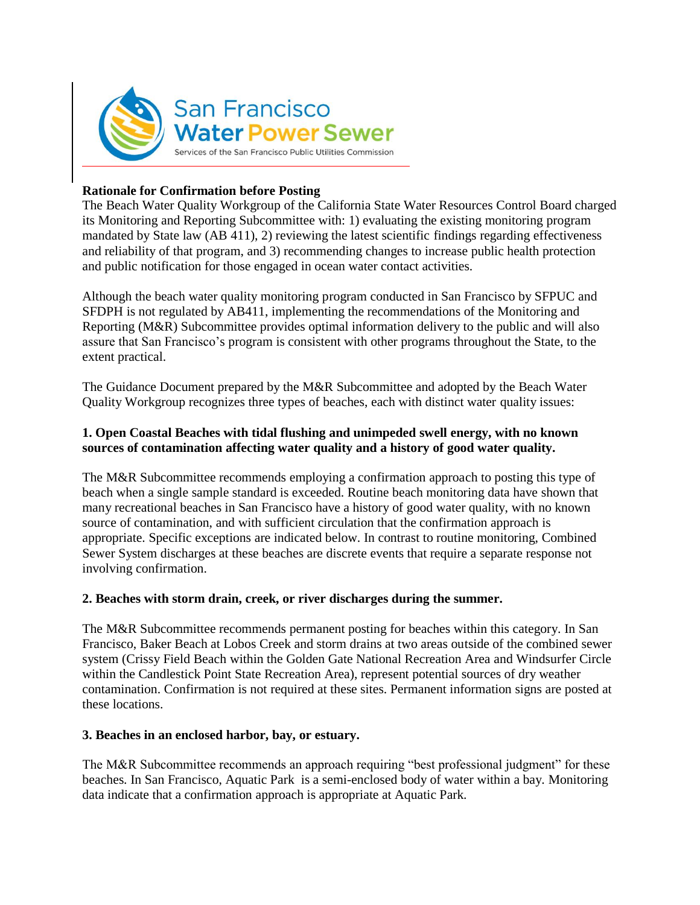

# **Rationale for Confirmation before Posting**

The Beach Water Quality Workgroup of the California State Water Resources Control Board charged its Monitoring and Reporting Subcommittee with: 1) evaluating the existing monitoring program mandated by State law (AB 411), 2) reviewing the latest scientific findings regarding effectiveness and reliability of that program, and 3) recommending changes to increase public health protection and public notification for those engaged in ocean water contact activities.

Although the beach water quality monitoring program conducted in San Francisco by SFPUC and SFDPH is not regulated by AB411, implementing the recommendations of the Monitoring and Reporting (M&R) Subcommittee provides optimal information delivery to the public and will also assure that San Francisco's program is consistent with other programs throughout the State, to the extent practical.

The Guidance Document prepared by the M&R Subcommittee and adopted by the Beach Water Quality Workgroup recognizes three types of beaches, each with distinct water quality issues:

## **1. Open Coastal Beaches with tidal flushing and unimpeded swell energy, with no known sources of contamination affecting water quality and a history of good water quality.**

The M&R Subcommittee recommends employing a confirmation approach to posting this type of beach when a single sample standard is exceeded. Routine beach monitoring data have shown that many recreational beaches in San Francisco have a history of good water quality, with no known source of contamination, and with sufficient circulation that the confirmation approach is appropriate. Specific exceptions are indicated below. In contrast to routine monitoring, Combined Sewer System discharges at these beaches are discrete events that require a separate response not involving confirmation.

## **2. Beaches with storm drain, creek, or river discharges during the summer.**

The M&R Subcommittee recommends permanent posting for beaches within this category. In San Francisco, Baker Beach at Lobos Creek and storm drains at two areas outside of the combined sewer system (Crissy Field Beach within the Golden Gate National Recreation Area and Windsurfer Circle within the Candlestick Point State Recreation Area), represent potential sources of dry weather contamination. Confirmation is not required at these sites. Permanent information signs are posted at these locations.

#### **3. Beaches in an enclosed harbor, bay, or estuary.**

The M&R Subcommittee recommends an approach requiring "best professional judgment" for these beaches. In San Francisco, Aquatic Park is a semi-enclosed body of water within a bay. Monitoring data indicate that a confirmation approach is appropriate at Aquatic Park.